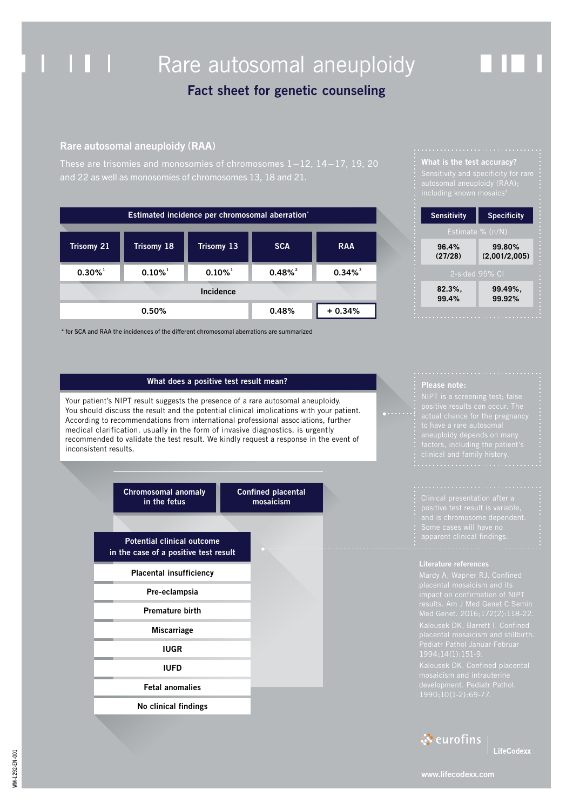## . . . Rare autosomal aneuploidy

## **Fact sheet for genetic counseling**

## Rare autosomal aneuploidy (RAA)

These are trisomies and monosomies of chromosomes 1–12, 14–17, 19, 20

| Estimated incidence per chromosomal aberration* |                       |                       |                       |                       |  |
|-------------------------------------------------|-----------------------|-----------------------|-----------------------|-----------------------|--|
| Trisomy 21                                      | Trisomy 18            | <b>Trisomy 13</b>     | <b>SCA</b>            | <b>RAA</b>            |  |
| $0.30\%$ <sup>1</sup>                           | $0.10\%$ <sup>1</sup> | $0.10\%$ <sup>1</sup> | $0.48\%$ <sup>2</sup> | $0.34\%$ <sup>3</sup> |  |
|                                                 |                       | Incidence             |                       |                       |  |
|                                                 | 0.50%                 |                       | 0.48%                 | $+0.34%$              |  |

\* for SCA and RAA the incidences of the different chromosomal aberrations are summarized

# **What is the test accuracy?**

autosomal aneuploidy (RAA);

|               | <b>Sensitivity</b> | <b>Specificity</b>      |  |  |  |
|---------------|--------------------|-------------------------|--|--|--|
|               | Estimate % $(n/N)$ |                         |  |  |  |
| .             | 96.4%<br>(27/28)   | 99.80%<br>(2,001/2,005) |  |  |  |
|               | 2-sided 95% CI     |                         |  |  |  |
| $\frac{1}{2}$ | 82.3%,<br>99.4%    | 99.49%,<br>99.92%       |  |  |  |
|               |                    |                         |  |  |  |

### **What does a positive test result mean?**

Your patient's NIPT result suggests the presence of a rare autosomal aneuploidy. You should discuss the result and the potential clinical implications with your patient. According to recommendations from international professional associations, further medical clarification, usually in the form of invasive diagnostics, is urgently recommended to validate the test result. We kindly request a response in the event of inconsistent results.

> **Chromosomal anomaly in the fetus**

**Confined placental mosaicism**

**Potential clinical outcome in the case of a positive test result**

**Placental insufficiency**

**Pre-eclampsia**

**Premature birth**

**Miscarriage**

**IUGR**

**IUFD**

### **Fetal anomalies**

**No clinical findings**

**Please note:** 

apparent clinical findings.



**LifeCodexx**